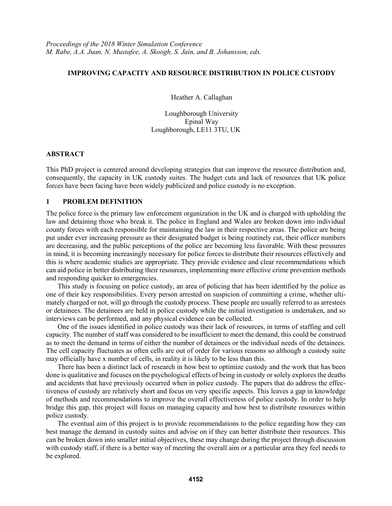## **IMPROVING CAPACITY AND RESOURCE DISTRIBUTION IN POLICE CUSTODY**

Heather A. Callaghan

Loughborough University Epinal Way Loughborough, LE11 3TU, UK

## **ABSTRACT**

This PhD project is centered around developing strategies that can improve the resource distribution and, consequently, the capacity in UK custody suites. The budget cuts and lack of resources that UK police forces have been facing have been widely publicized and police custody is no exception.

# **1 PROBLEM DEFINITION**

The police force is the primary law enforcement organization in the UK and is charged with upholding the law and detaining those who break it. The police in England and Wales are broken down into individual county forces with each responsible for maintaining the law in their respective areas. The police are being put under ever increasing pressure as their designated budget is being routinely cut, their officer numbers are decreasing, and the public perceptions of the police are becoming less favorable. With these pressures in mind, it is becoming increasingly necessary for police forces to distribute their resources effectively and this is where academic studies are appropriate. They provide evidence and clear recommendations which can aid police in better distributing their resources, implementing more effective crime prevention methods and responding quicker to emergencies.

This study is focusing on police custody, an area of policing that has been identified by the police as one of their key responsibilities. Every person arrested on suspicion of committing a crime, whether ultimately charged or not, will go through the custody process. These people are usually referred to as arrestees or detainees. The detainees are held in police custody while the initial investigation is undertaken, and so interviews can be performed, and any physical evidence can be collected.

One of the issues identified in police custody was their lack of resources, in terms of staffing and cell capacity. The number of staff was considered to be insufficient to meet the demand, this could be construed as to meet the demand in terms of either the number of detainees or the individual needs of the detainees. The cell capacity fluctuates as often cells are out of order for various reasons so although a custody suite may officially have x number of cells, in reality it is likely to be less than this.

There has been a distinct lack of research in how best to optimize custody and the work that has been done is qualitative and focuses on the psychological effects of being in custody or solely explores the deaths and accidents that have previously occurred when in police custody. The papers that do address the effectiveness of custody are relatively short and focus on very specific aspects. This leaves a gap in knowledge of methods and recommendations to improve the overall effectiveness of police custody. In order to help bridge this gap, this project will focus on managing capacity and how best to distribute resources within police custody.

The eventual aim of this project is to provide recommendations to the police regarding how they can best manage the demand in custody suites and advise on if they can better distribute their resources. This can be broken down into smaller initial objectives, these may change during the project through discussion with custody staff, if there is a better way of meeting the overall aim or a particular area they feel needs to be explored.